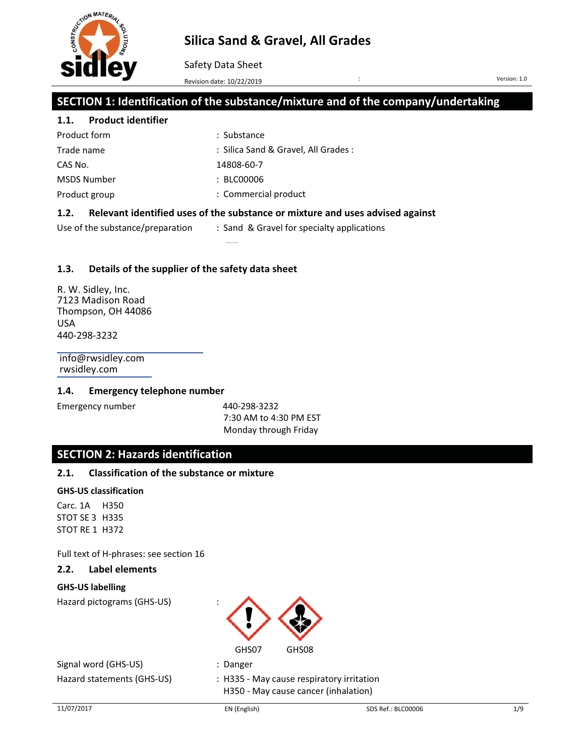

Safety Data Sheet

Revision date: 10/22/2019

Version: 1.0

# **SECTION 1: Identification of the substance/mixture and of the company/undertaking**

# **1.1. Product identifier**

| Product form       | : Substance                         |
|--------------------|-------------------------------------|
| Trade name         | : Silica Sand & Gravel, All Grades: |
| CAS No.            | 14808-60-7                          |
| <b>MSDS Number</b> | : BECO0006                          |
| Product group      | : Commercial product                |
|                    |                                     |

## **1.2. Relevant identified uses of the substance or mixture and uses advised against**

Use of the substance/preparation : Sand & Gravel for specialty applications

### **1.3. Details of the supplier of the safety data sheet**

R. W. Sidley, Inc. 7123 Madison Road Thompson, OH 44086 USA 440-298-3232

info@rwsidley.com rwsidley.com

#### **1.4. Emergency telephone number**

Emergency number 1440-298-3232

7:30 AM to 4:30 PM EST Monday through Friday

# **SECTION 2: Hazards identification**

## **2.1. Classification of the substance or mixture**

#### **GHS-US classification**

Carc. 1A H350 STOT SE 3 H335 STOT RE 1 H372

Full text of H-phrases: see section 16

### **2.2. Label elements**

#### **GHS-US labelling**

Hazard pictograms (GHS-US) :



Signal word (GHS-US) : Danger Hazard statements (GHS-US) : H335 - May cause respiratory irritation

H350 - May cause cancer (inhalation)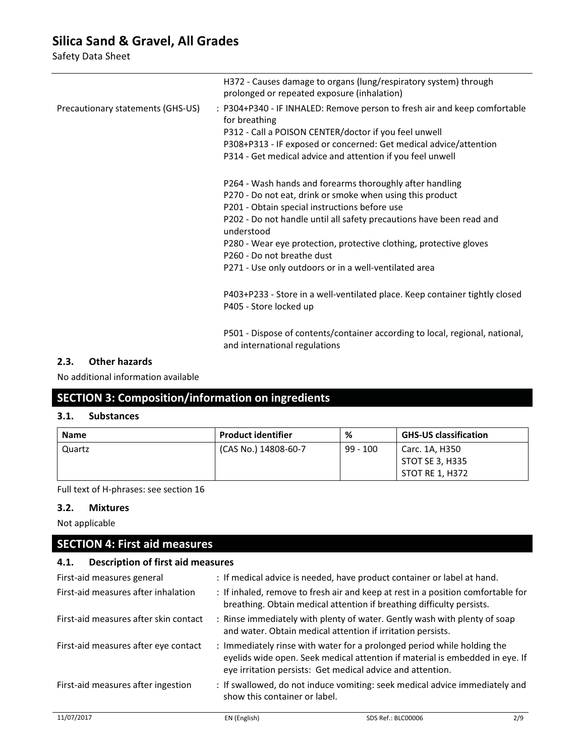Safety Data Sheet

|                                   | H372 - Causes damage to organs (lung/respiratory system) through<br>prolonged or repeated exposure (inhalation)                                                                                                                                                                                                                                                                                                           |
|-----------------------------------|---------------------------------------------------------------------------------------------------------------------------------------------------------------------------------------------------------------------------------------------------------------------------------------------------------------------------------------------------------------------------------------------------------------------------|
| Precautionary statements (GHS-US) | : P304+P340 - IF INHALED: Remove person to fresh air and keep comfortable<br>for breathing<br>P312 - Call a POISON CENTER/doctor if you feel unwell<br>P308+P313 - IF exposed or concerned: Get medical advice/attention<br>P314 - Get medical advice and attention if you feel unwell                                                                                                                                    |
|                                   | P264 - Wash hands and forearms thoroughly after handling<br>P270 - Do not eat, drink or smoke when using this product<br>P201 - Obtain special instructions before use<br>P202 - Do not handle until all safety precautions have been read and<br>understood<br>P280 - Wear eye protection, protective clothing, protective gloves<br>P260 - Do not breathe dust<br>P271 - Use only outdoors or in a well-ventilated area |
|                                   | P403+P233 - Store in a well-ventilated place. Keep container tightly closed<br>P405 - Store locked up                                                                                                                                                                                                                                                                                                                     |
|                                   | P501 - Dispose of contents/container according to local, regional, national,<br>and international regulations                                                                                                                                                                                                                                                                                                             |

### **2.3. Other hazards**

No additional information available

# **SECTION 3: Composition/information on ingredients**

## **3.1. Substances**

| <b>Name</b> | <b>Product identifier</b> | %          | <b>GHS-US classification</b>      |
|-------------|---------------------------|------------|-----------------------------------|
| Quartz      | (CAS No.) 14808-60-7      | $99 - 100$ | Carc. 1A, H350<br>STOT SE 3, H335 |
|             |                           |            | STOT RE 1. H372                   |

Full text of H-phrases: see section 16

#### **3.2. Mixtures**

Not applicable

# **SECTION 4: First aid measures**

### **4.1. Description of first aid measures**

| First-aid measures general            |                                                                                                                                                           | : If medical advice is needed, have product container or label at hand.                                                                                                                                               |     |
|---------------------------------------|-----------------------------------------------------------------------------------------------------------------------------------------------------------|-----------------------------------------------------------------------------------------------------------------------------------------------------------------------------------------------------------------------|-----|
| First-aid measures after inhalation   | : If inhaled, remove to fresh air and keep at rest in a position comfortable for<br>breathing. Obtain medical attention if breathing difficulty persists. |                                                                                                                                                                                                                       |     |
| First-aid measures after skin contact |                                                                                                                                                           | : Rinse immediately with plenty of water. Gently wash with plenty of soap<br>and water. Obtain medical attention if irritation persists.                                                                              |     |
| First-aid measures after eye contact  |                                                                                                                                                           | : Immediately rinse with water for a prolonged period while holding the<br>eyelids wide open. Seek medical attention if material is embedded in eye. If<br>eye irritation persists: Get medical advice and attention. |     |
| First-aid measures after ingestion    | : If swallowed, do not induce vomiting: seek medical advice immediately and<br>show this container or label.                                              |                                                                                                                                                                                                                       |     |
| 11/07/2017                            | EN (English)                                                                                                                                              | SDS Ref.: BLC00006                                                                                                                                                                                                    | 2/9 |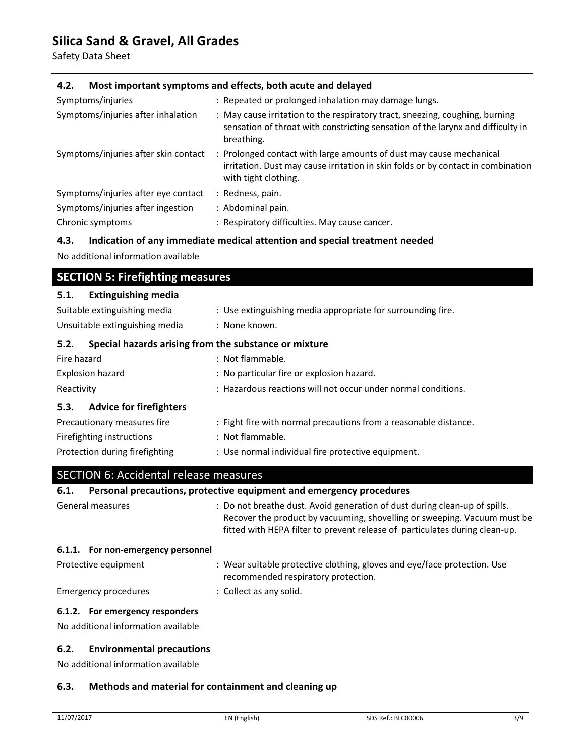Safety Data Sheet

## **4.2. Most important symptoms and effects, both acute and delayed**

| Symptoms/injuries                    | : Repeated or prolonged inhalation may damage lungs.                                                                                                                            |
|--------------------------------------|---------------------------------------------------------------------------------------------------------------------------------------------------------------------------------|
| Symptoms/injuries after inhalation   | : May cause irritation to the respiratory tract, sneezing, coughing, burning<br>sensation of throat with constricting sensation of the larynx and difficulty in<br>breathing.   |
| Symptoms/injuries after skin contact | : Prolonged contact with large amounts of dust may cause mechanical<br>irritation. Dust may cause irritation in skin folds or by contact in combination<br>with tight clothing. |
| Symptoms/injuries after eye contact  | : Redness, pain.                                                                                                                                                                |
| Symptoms/injuries after ingestion    | : Abdominal pain.                                                                                                                                                               |
| Chronic symptoms                     | : Respiratory difficulties. May cause cancer.                                                                                                                                   |

#### **4.3. Indication of any immediate medical attention and special treatment needed**

No additional information available

## **SECTION 5: Firefighting measures**

#### **5.1. Extinguishing media**

| Suitable extinguishing media                                  | : Use extinguishing media appropriate for surrounding fire.      |  |
|---------------------------------------------------------------|------------------------------------------------------------------|--|
| Unsuitable extinguishing media                                | : None known.                                                    |  |
| Special hazards arising from the substance or mixture<br>5.2. |                                                                  |  |
| Fire hazard                                                   | : Not flammable.                                                 |  |
| Explosion hazard                                              | : No particular fire or explosion hazard.                        |  |
| Reactivity                                                    | : Hazardous reactions will not occur under normal conditions.    |  |
| 5.3. Advice for firefighters                                  |                                                                  |  |
| Precautionary measures fire                                   | : Fight fire with normal precautions from a reasonable distance. |  |
| Firefighting instructions                                     | : Not flammable.                                                 |  |
| Protection during firefighting                                | : Use normal individual fire protective equipment.               |  |

# SECTION 6: Accidental release measures

# **6.1. Personal precautions, protective equipment and emergency procedures**

| General measures                   | : Do not breathe dust. Avoid generation of dust during clean-up of spills.<br>Recover the product by vacuuming, shovelling or sweeping. Vacuum must be<br>fitted with HEPA filter to prevent release of particulates during clean-up. |
|------------------------------------|---------------------------------------------------------------------------------------------------------------------------------------------------------------------------------------------------------------------------------------|
| 6.1.1. For non-emergency personnel |                                                                                                                                                                                                                                       |
| Protective equipment               | : Wear suitable protective clothing, gloves and eye/face protection. Use<br>recommended respiratory protection.                                                                                                                       |
| <b>Emergency procedures</b>        | : Collect as any solid.                                                                                                                                                                                                               |
| 6.1.2. For emergency responders    |                                                                                                                                                                                                                                       |

No additional information available

## **6.2. Environmental precautions**

No additional information available

## **6.3. Methods and material for containment and cleaning up**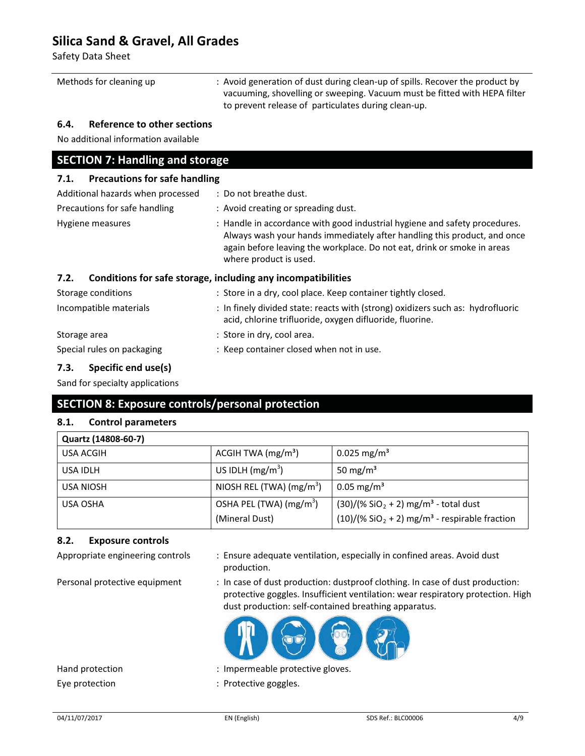Safety Data Sheet

| Methods for cleaning up | : Avoid generation of dust during clean-up of spills. Recover the product by<br>vacuuming, shovelling or sweeping. Vacuum must be fitted with HEPA filter |
|-------------------------|-----------------------------------------------------------------------------------------------------------------------------------------------------------|
|                         | to prevent release of particulates during clean-up.                                                                                                       |

## **6.4. Reference to other sections**

No additional information available

# **SECTION 7: Handling and storage**

| 7.1. Precautions for safe handling |                                                                                                                                                                                                                                                             |
|------------------------------------|-------------------------------------------------------------------------------------------------------------------------------------------------------------------------------------------------------------------------------------------------------------|
| Additional hazards when processed  | : Do not breathe dust.                                                                                                                                                                                                                                      |
| Precautions for safe handling      | : Avoid creating or spreading dust.                                                                                                                                                                                                                         |
| Hygiene measures                   | : Handle in accordance with good industrial hygiene and safety procedures.<br>Always wash your hands immediately after handling this product, and once<br>again before leaving the workplace. Do not eat, drink or smoke in areas<br>where product is used. |
| 7.2.                               | Conditions for safe storage, including any incompatibilities                                                                                                                                                                                                |
| Storage conditions                 | : Store in a dry, cool place. Keep container tightly closed.                                                                                                                                                                                                |
| Incompatible materials             | : In finely divided state: reacts with (strong) oxidizers such as: hydrofluoric<br>acid, chlorine trifluoride, oxygen difluoride, fluorine.                                                                                                                 |
| Storage area                       | : Store in dry, cool area.                                                                                                                                                                                                                                  |

# Special rules on packaging : Keep container closed when not in use.

### **7.3. Specific end use(s)**

Sand for specialty applications

# **SECTION 8: Exposure controls/personal protection**

## **8.1. Control parameters**

| Quartz (14808-60-7) |                           |                                                                          |
|---------------------|---------------------------|--------------------------------------------------------------------------|
| USA ACGIH           | ACGIH TWA $(mg/m3)$       | 0.025 mg/m <sup>3</sup>                                                  |
| USA IDLH            | US IDLH $(mg/m3)$         | 50 mg/m <sup>3</sup>                                                     |
| <b>USA NIOSH</b>    | NIOSH REL (TWA) $(mg/m3)$ | $0.05 \,\mathrm{mg/m^3}$                                                 |
| <b>USA OSHA</b>     | OSHA PEL (TWA) $(mg/m3)$  | $(30)/(% SiO2 + 2) mg/m3 - total dust$                                   |
|                     | (Mineral Dust)            | $(10)/($ % SiO <sub>2</sub> + 2) mg/m <sup>3</sup> - respirable fraction |

### **8.2. Exposure controls**

Appropriate engineering controls : Ensure adequate ventilation, especially in confined areas. Avoid dust production.

Personal protective equipment : In case of dust production: dustproof clothing. In case of dust production: protective goggles. Insufficient ventilation: wear respiratory protection. High dust production: self-contained breathing apparatus.



Hand protection  $\qquad \qquad :$  Impermeable protective gloves. Eye protection  $\qquad \qquad :$  Protective goggles.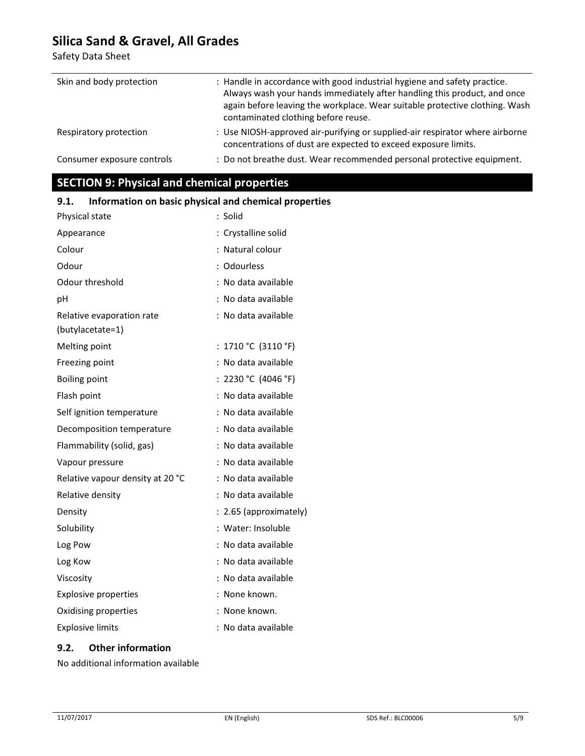Safety Data Sheet

| Skin and body protection   | : Handle in accordance with good industrial hygiene and safety practice.<br>Always wash your hands immediately after handling this product, and once<br>again before leaving the workplace. Wear suitable protective clothing. Wash<br>contaminated clothing before reuse. |
|----------------------------|----------------------------------------------------------------------------------------------------------------------------------------------------------------------------------------------------------------------------------------------------------------------------|
| Respiratory protection     | : Use NIOSH-approved air-purifying or supplied-air respirator where airborne<br>concentrations of dust are expected to exceed exposure limits.                                                                                                                             |
| Consumer exposure controls | : Do not breathe dust. Wear recommended personal protective equipment.                                                                                                                                                                                                     |

**SECTION 9: Physical and chemical properties** 

| illiofination on basic physical and chemical properti |                        |
|-------------------------------------------------------|------------------------|
| Physical state                                        | : Solid                |
| Appearance                                            | : Crystalline solid    |
| Colour                                                | : Natural colour       |
| Odour                                                 | : Odourless            |
| Odour threshold                                       | : No data available    |
| рH                                                    | : No data available    |
| Relative evaporation rate                             | : No data available    |
| (butylacetate=1)                                      |                        |
| Melting point                                         | : $1710 °C$ (3110 °F)  |
| Freezing point                                        | : No data available    |
| <b>Boiling point</b>                                  | : 2230 °C (4046 °F)    |
| Flash point                                           | : No data available    |
| Self ignition temperature                             | : No data available    |
| Decomposition temperature                             | : No data available    |
| Flammability (solid, gas)                             | : No data available    |
| Vapour pressure                                       | : No data available    |
| Relative vapour density at 20 °C                      | : No data available    |
| Relative density                                      | : No data available    |
| Density                                               | : 2.65 (approximately) |
| Solubility                                            | : Water: Insoluble     |
| Log Pow                                               | : No data available    |
| Log Kow                                               | : No data available    |
| Viscosity                                             | : No data available    |
| <b>Explosive properties</b>                           | : None known.          |
| Oxidising properties                                  | None known.            |
| <b>Explosive limits</b>                               | : No data available    |

# **9.1. Information on basic physical and chemical properties**

# **9.2. Other information**

No additional information available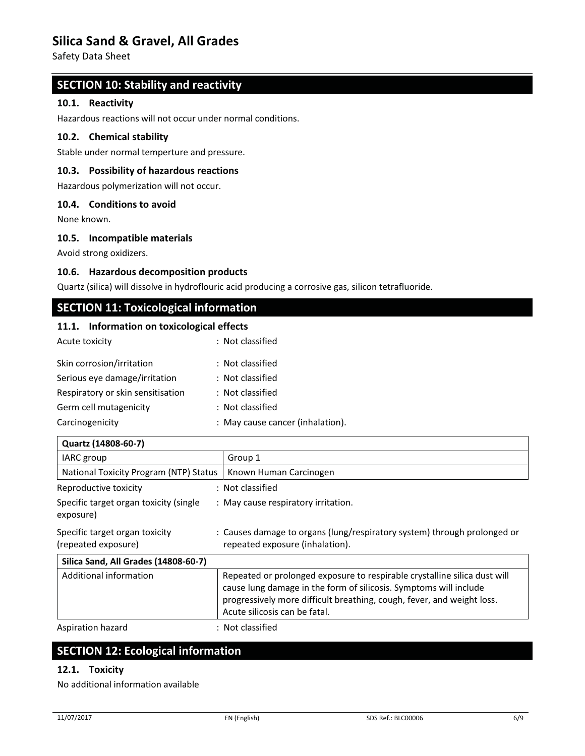Safety Data Sheet

# **SECTION 10: Stability and reactivity**

#### **10.1. Reactivity**

Hazardous reactions will not occur under normal conditions.

#### **10.2. Chemical stability**

Stable under normal temperture and pressure.

## **10.3. Possibility of hazardous reactions**

Hazardous polymerization will not occur.

#### **10.4. Conditions to avoid**

None known.

#### **10.5. Incompatible materials**

Avoid strong oxidizers.

#### **10.6. Hazardous decomposition products**

Quartz (silica) will dissolve in hydroflouric acid producing a corrosive gas, silicon tetrafluoride.

# **SECTION 11: Toxicological information**

#### **11.1. Information on toxicological effects**

| Acute toxicity                    | : Not classified                 |
|-----------------------------------|----------------------------------|
| Skin corrosion/irritation         | : Not classified                 |
| Serious eye damage/irritation     | : Not classified                 |
| Respiratory or skin sensitisation | : Not classified                 |
| Germ cell mutagenicity            | : Not classified                 |
| Carcinogenicity                   | : May cause cancer (inhalation). |

| Quartz (14808-60-7)                                   |                                                                                                                                                                                                                                                           |  |
|-------------------------------------------------------|-----------------------------------------------------------------------------------------------------------------------------------------------------------------------------------------------------------------------------------------------------------|--|
| IARC group                                            | Group 1                                                                                                                                                                                                                                                   |  |
| National Toxicity Program (NTP) Status                | Known Human Carcinogen                                                                                                                                                                                                                                    |  |
| Reproductive toxicity                                 | : Not classified                                                                                                                                                                                                                                          |  |
| Specific target organ toxicity (single<br>exposure)   | : May cause respiratory irritation.                                                                                                                                                                                                                       |  |
| Specific target organ toxicity<br>(repeated exposure) | : Causes damage to organs (lung/respiratory system) through prolonged or<br>repeated exposure (inhalation).                                                                                                                                               |  |
| Silica Sand, All Grades (14808-60-7)                  |                                                                                                                                                                                                                                                           |  |
| Additional information                                | Repeated or prolonged exposure to respirable crystalline silica dust will<br>cause lung damage in the form of silicosis. Symptoms will include<br>progressively more difficult breathing, cough, fever, and weight loss.<br>Acute silicosis can be fatal. |  |

Aspiration hazard : Not classified

# **SECTION 12: Ecological information**

#### **12.1. Toxicity**

No additional information available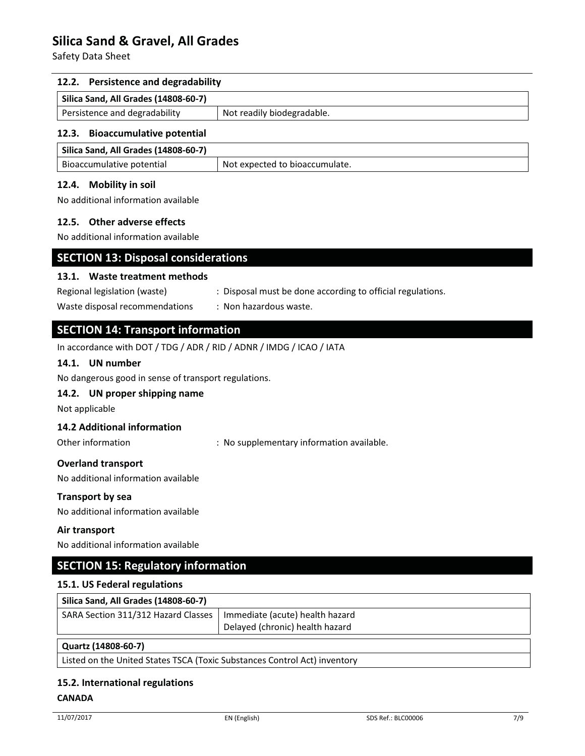Safety Data Sheet

#### **12.2. Persistence and degradability**

| Silica Sand, All Grades (14808-60-7) |                            |
|--------------------------------------|----------------------------|
| Persistence and degradability        | Not readily biodegradable. |

### **12.3. Bioaccumulative potential**

| Silica Sand, All Grades (14808-60-7) |                                |
|--------------------------------------|--------------------------------|
| Bioaccumulative potential            | Not expected to bioaccumulate. |

#### **12.4. Mobility in soil**

No additional information available

#### **12.5. Other adverse effects**

No additional information available

### **SECTION 13: Disposal considerations**

#### **13.1. Waste treatment methods**

Regional legislation (waste) : Disposal must be done according to official regulations.

Waste disposal recommendations : Non hazardous waste.

# **SECTION 14: Transport information**

In accordance with DOT / TDG / ADR / RID / ADNR / IMDG / ICAO / IATA

## **14.1. UN number**

No dangerous good in sense of transport regulations.

### **14.2. UN proper shipping name**

Not applicable

### **14.2 Additional information**

Other information **interest in the supplementary information available.** 

### **Overland transport**

No additional information available

#### **Transport by sea**

No additional information available

#### **Air transport**

No additional information available

# **SECTION 15: Regulatory information**

#### **15.1. US Federal regulations**

| Silica Sand, All Grades (14808-60-7)                                  |                                 |
|-----------------------------------------------------------------------|---------------------------------|
| SARA Section 311/312 Hazard Classes   Immediate (acute) health hazard | Delayed (chronic) health hazard |
| Quartz (14808-60-7)                                                   |                                 |

## **Quartz (14808-60-7)**

Listed on the United States TSCA (Toxic Substances Control Act) inventory

#### **15.2. International regulations**

#### **CANADA**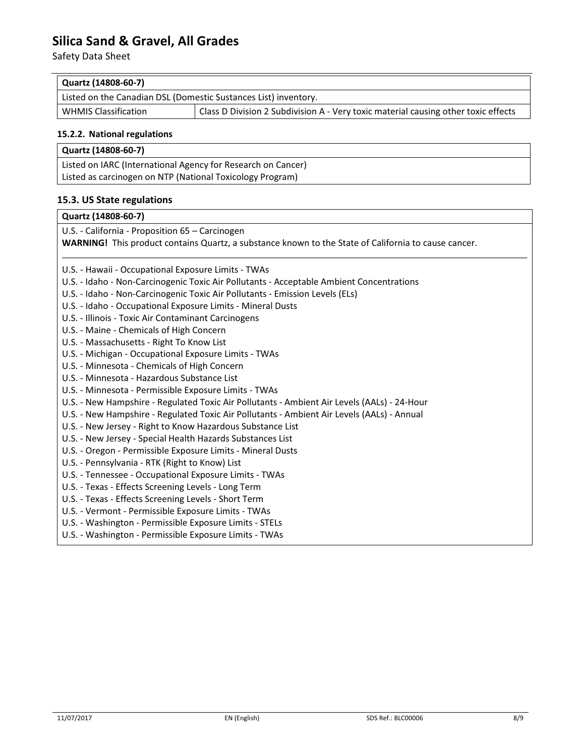Safety Data Sheet

| Quartz (14808-60-7)                                             |                                                                                    |
|-----------------------------------------------------------------|------------------------------------------------------------------------------------|
| Listed on the Canadian DSL (Domestic Sustances List) inventory. |                                                                                    |
| <b>WHMIS Classification</b>                                     | Class D Division 2 Subdivision A - Very toxic material causing other toxic effects |
|                                                                 |                                                                                    |

#### **15.2.2. National regulations**

| Quartz (14808-60-7)                                          |  |
|--------------------------------------------------------------|--|
| Listed on IARC (International Agency for Research on Cancer) |  |
| Listed as carcinogen on NTP (National Toxicology Program)    |  |
|                                                              |  |

# **15.3. US State regulations**

## **Quartz (14808-60-7)**

U.S. - California - Proposition 65 – Carcinogen **WARNING!** This product contains Quartz, a substance known to the State of California to cause cancer.

U.S. - Hawaii - Occupational Exposure Limits - TWAs

U.S. - Idaho - Non-Carcinogenic Toxic Air Pollutants - Acceptable Ambient Concentrations

U.S. - Idaho - Non-Carcinogenic Toxic Air Pollutants - Emission Levels (ELs)

U.S. - Idaho - Occupational Exposure Limits - Mineral Dusts

U.S. - Illinois - Toxic Air Contaminant Carcinogens

U.S. - Maine - Chemicals of High Concern

U.S. - Massachusetts - Right To Know List

U.S. - Michigan - Occupational Exposure Limits - TWAs

U.S. - Minnesota - Chemicals of High Concern

U.S. - Minnesota - Hazardous Substance List

U.S. - Minnesota - Permissible Exposure Limits - TWAs

U.S. - New Hampshire - Regulated Toxic Air Pollutants - Ambient Air Levels (AALs) - 24-Hour

U.S. - New Hampshire - Regulated Toxic Air Pollutants - Ambient Air Levels (AALs) - Annual

U.S. - New Jersey - Right to Know Hazardous Substance List

U.S. - New Jersey - Special Health Hazards Substances List

U.S. - Oregon - Permissible Exposure Limits - Mineral Dusts

U.S. - Pennsylvania - RTK (Right to Know) List

U.S. - Tennessee - Occupational Exposure Limits - TWAs

U.S. - Texas - Effects Screening Levels - Long Term

U.S. - Texas - Effects Screening Levels - Short Term

U.S. - Vermont - Permissible Exposure Limits - TWAs

U.S. - Washington - Permissible Exposure Limits - STELs

U.S. - Washington - Permissible Exposure Limits - TWAs